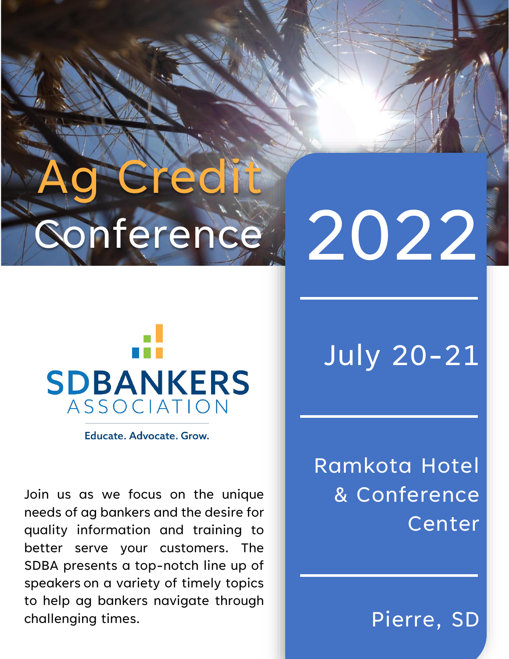# Gredit onference

# 2022



Educate, Advocate, Grow.

Join us as we focus on the unique needs of ag bankers and the desire for quality information and training to better serve your customers. The SDBA presents a top-notch line up of speakers on a variety of timely topics to help ag bankers navigate through challenging times.

## July 20-21

Ramkota Hotel & Conference Center

Pierre, SD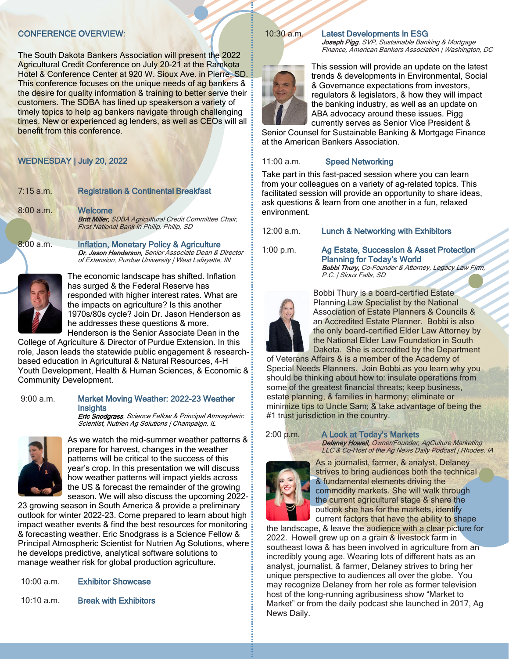#### CONFERENCE OVERVIEW:

The South Dakota Bankers Association will present the 2022 Agricultural Credit Conference on July 20-21 at the Ramkota Hotel & Conference Center at 920 W. Sioux Ave. in Pierre, SD. This conference focuses on the unique needs of ag bankers & the desire for quality information & training to better serve their customers. The SDBA has lined up speakerson a variety of timely topics to help ag bankers navigate through challenging times. New or experienced ag lenders, as well as CEOs will all benefit from this conference.

#### WEDNESDAY | July 20, 2022

| $7:15$ a.m. | <b>Registration &amp; Continental Breakfast</b>                                                                                                                      |
|-------------|----------------------------------------------------------------------------------------------------------------------------------------------------------------------|
| $8:00$ a.m. | Welcome<br><b>BritIMiller, SDBA Agricultural Credit Committee Chair,</b><br>First National Bank in Philip, Philip, SD                                                |
| 8:00 a.m.   | <b>Inflation, Monetary Policy &amp; Agriculture</b><br>Dr. Jason Henderson, Senior Associate Dean & Director<br>of Extension, Purdue University   West Lafayette, IN |



The economic landscape has shifted. Inflation has surged & the Federal Reserve has responded with higher interest rates. What are the impacts on agriculture? Is this another 1970s/80s cycle? Join Dr. Jason Henderson as he addresses these questions & more.

Henderson is the Senior Associate Dean in the College of Agriculture & Director of Purdue Extension. In this role, Jason leads the statewide public engagement & researchbased education in Agricultural & Natural Resources, 4-H Youth Development, Health & Human Sciences, & Economic & Community Development.

#### 9:00 a.m. Market Moving Weather: 2022-23 Weather **Insights**

**Eric Snodgrass**, Science Fellow & Principal Atmospheric Scientist, Nutrien Ag Solutions | Champaign, IL



As we watch the mid-summer weather patterns & prepare for harvest, changes in the weather patterns will be critical to the success of this year's crop. In this presentation we will discuss how weather patterns will impact yields across the US & forecast the remainder of the growing season. We will also discuss the upcoming 2022-

23 growing season in South America & provide a preliminary outlook for winter 2022-23. Come prepared to learn about high impact weather events & find the best resources for monitoring & forecasting weather. Eric Snodgrass is a Science Fellow & Principal Atmospheric Scientist for Nutrien Ag Solutions, where he develops predictive, analytical software solutions to manage weather risk for global production agriculture.

| 10:00 a.m. |  | <b>Exhibitor Showcase</b> |
|------------|--|---------------------------|
|------------|--|---------------------------|

10:10 a.m. Break with Exhibitors

#### 10:30 a.m. Latest Developments in ESG Joseph Pigg, SVP, Sustainable Banking & Mortgage

Finance, American Bankers Association | Washington, DC



This session will provide an update on the latest trends & developments in Environmental, Social & Governance expectations from investors, regulators & legislators, & how they will impact the banking industry, as well as an update on ABA advocacy around these issues. Pigg currently serves as Senior Vice President &

Senior Counsel for Sustainable Banking & Mortgage Finance at the American Bankers Association.

#### 11:00 a.m. Speed Networking

Take part in this fast-paced session where you can learn from your colleagues on a variety of ag-related topics. This facilitated session will provide an opportunity to share ideas, ask questions & learn from one another in a fun, relaxed environment.

12:00 a.m. Lunch & Networking with Exhibitors

1:00 p.m. Ag Estate, Succession & Asset Protection Planning for Today's World Bobbi Thury, Co-Founder & Attorney, Legacy Law Firm, P.C. | Sioux Falls, SD



Bobbi Thury is a board-certified Estate Planning Law Specialist by the National Association of Estate Planners & Councils & an Accredited Estate Planner. Bobbi is also the only board-certified Elder Law Attorney by the National Elder Law Foundation in South Dakota. She is accredited by the Department

of Veterans Affairs & is a member of the Academy of Special Needs Planners. Join Bobbi as you learn why you should be thinking about how to: insulate operations from some of the greatest financial threats; keep business, estate planning, & families in harmony; eliminate or minimize tips to Uncle Sam; & take advantage of being the #1 trust jurisdiction in the country.

#### 2:00 p.m. A Look at Today's Markets

Delaney Howell, Owner/Founder, AgCulture Marketing LLC & Co-Host of the Ag News Daily Podcast | Rhodes, IA



As a journalist, farmer, & analyst, Delaney strives to bring audiences both the technical & fundamental elements driving the commodity markets. She will walk through the current agricultural stage & share the outlook she has for the markets, identify current factors that have the ability to shape

the landscape, & leave the audience with a clear picture for 2022. Howell grew up on a grain & livestock farm in southeast Iowa & has been involved in agriculture from an incredibly young age. Wearing lots of different hats as an analyst, journalist, & farmer, Delaney strives to bring her unique perspective to audiences all over the globe. You may recognize Delaney from her role as former television host of the long-running agribusiness show "Market to Market" or from the daily podcast she launched in 2017, Ag News Daily.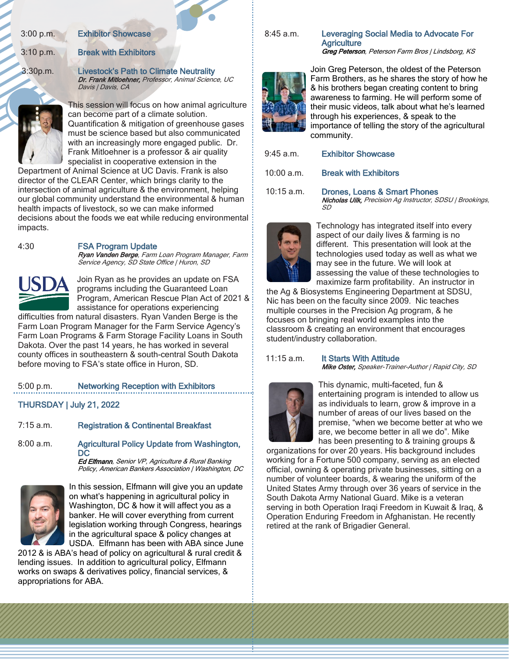3:00 p.m. Exhibitor Showcase

#### 3:10 p.m. Break with Exhibitors

3:30p.m. Livestock's Path to Climate Neutrality Dr. Frank Mitloehner, Professor, Animal Science, UC Davis | Davis, CA



This session will focus on how animal agriculture can become part of a climate solution. Quantification & mitigation of greenhouse gases must be science based but also communicated with an increasingly more engaged public. Dr. Frank Mitloehner is a professor & air quality specialist in cooperative extension in the

Department of Animal Science at UC Davis. Frank is also director of the CLEAR Center, which brings clarity to the intersection of animal agriculture & the environment, helping our global community understand the environmental & human health impacts of livestock, so we can make informed decisions about the foods we eat while reducing environmental impacts.

#### 4:30 FSA Program Update

Ryan Vanden Berge, Farm Loan Program Manager, Farm Service Agency, SD State Office | Huron, SD



Join Ryan as he provides an update on FSA programs including the Guaranteed Loan Program, American Rescue Plan Act of 2021 & assistance for operations experiencing

difficulties from natural disasters. Ryan Vanden Berge is the Farm Loan Program Manager for the Farm Service Agency's Farm Loan Programs & Farm Storage Facility Loans in South Dakota. Over the past 14 years, he has worked in several county offices in southeastern & south-central South Dakota before moving to FSA's state office in Huron, SD.

#### 5:00 p.m. Networking Reception with Exhibitors

THURSDAY | July 21, 2022

7:15 a.m. Registration & Continental Breakfast

8:00 a.m. Agricultural Policy Update from Washington, **DC** 

**Ed Elfmann**, Senior VP, Agriculture & Rural Banking Policy, American Bankers Association | Washington, DC



In this session, Elfmann will give you an update on what's happening in agricultural policy in Washington, DC & how it will affect you as a banker. He will cover everything from current legislation working through Congress, hearings in the agricultural space & policy changes at USDA. Elfmann has been with ABA since June

2012 & is ABA's head of policy on agricultural & rural credit & lending issues. In addition to agricultural policy, Elfmann works on swaps & derivatives policy, financial services, & appropriations for ABA.

#### 8:45 a.m. Leveraging Social Media to Advocate For **Agriculture** Greg Peterson, Peterson Farm Bros | Lindsborg, KS



Join Greg Peterson, the oldest of the Peterson Farm Brothers, as he shares the story of how he & his brothers began creating content to bring awareness to farming. He will perform some of their music videos, talk about what he's learned through his experiences, & speak to the importance of telling the story of the agricultural community.

9:45 a.m. Exhibitor Showcase

10:00 a.m. Break with Exhibitors

10:15 a.m. Drones, Loans & Smart Phones Nicholas Uilk, Precision Ag Instructor, SDSU | Brookings, SD



Technology has integrated itself into every aspect of our daily lives & farming is no different. This presentation will look at the technologies used today as well as what we may see in the future. We will look at assessing the value of these technologies to maximize farm profitability. An instructor in

the Ag & Biosystems Engineering Department at SDSU, Nic has been on the faculty since 2009. Nic teaches multiple courses in the Precision Ag program, & he focuses on bringing real world examples into the classroom & creating an environment that encourages student/industry collaboration.

#### 11:15 a.m. It Starts With Attitude

Mike Oster, Speaker-Trainer-Author | Rapid City, SD



This dynamic, multi-faceted, fun & entertaining program is intended to allow us as individuals to learn, grow & improve in a number of areas of our lives based on the premise, "when we become better at who we are, we become better in all we do". Mike has been presenting to & training groups &

organizations for over 20 years. His background includes working for a Fortune 500 company, serving as an elected official, owning & operating private businesses, sitting on a number of volunteer boards, & wearing the uniform of the United States Army through over 36 years of service in the South Dakota Army National Guard. Mike is a veteran serving in both Operation Iraqi Freedom in Kuwait & Iraq, & Operation Enduring Freedom in Afghanistan. He recently retired at the rank of Brigadier General.